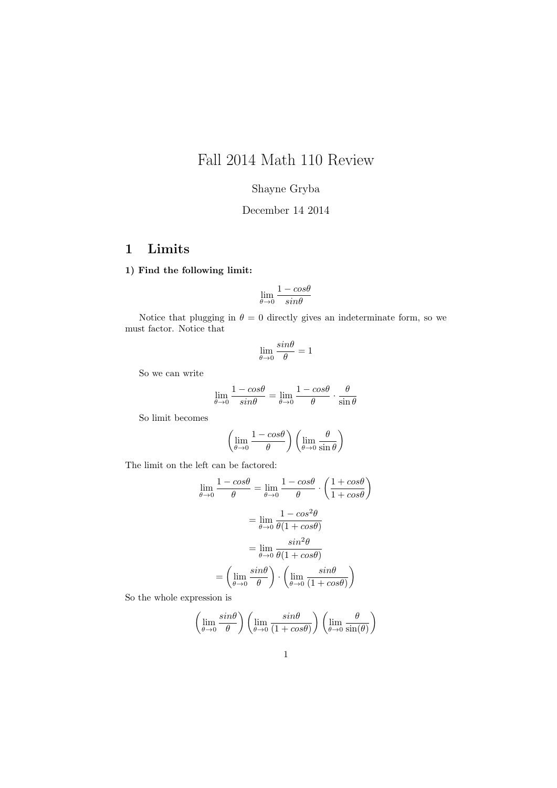# Fall 2014 Math 110 Review

## Shayne Gryba

## December 14 2014

## 1 Limits

#### 1) Find the following limit:

$$
\lim_{\theta \to 0} \frac{1 - cos \theta}{sin \theta}
$$

Notice that plugging in  $\theta = 0$  directly gives an indeterminate form, so we must factor. Notice that

$$
\lim_{\theta \to 0} \frac{\sin \theta}{\theta} = 1
$$

So we can write

$$
\lim_{\theta \to 0} \frac{1 - \cos \theta}{\sin \theta} = \lim_{\theta \to 0} \frac{1 - \cos \theta}{\theta} \cdot \frac{\theta}{\sin \theta}
$$

So limit becomes

$$
\left(\lim_{\theta \to 0} \frac{1 - \cos \theta}{\theta}\right) \left(\lim_{\theta \to 0} \frac{\theta}{\sin \theta}\right)
$$

The limit on the left can be factored:

$$
\lim_{\theta \to 0} \frac{1 - \cos\theta}{\theta} = \lim_{\theta \to 0} \frac{1 - \cos\theta}{\theta} \cdot \left(\frac{1 + \cos\theta}{1 + \cos\theta}\right)
$$

$$
= \lim_{\theta \to 0} \frac{1 - \cos^2\theta}{\theta(1 + \cos\theta)}
$$

$$
= \lim_{\theta \to 0} \frac{\sin^2\theta}{\theta(1 + \cos\theta)}
$$

$$
= \left(\lim_{\theta \to 0} \frac{\sin\theta}{\theta}\right) \cdot \left(\lim_{\theta \to 0} \frac{\sin\theta}{(1 + \cos\theta)}\right)
$$

So the whole expression is

$$
\left(\lim_{\theta \to 0} \frac{\sin \theta}{\theta}\right) \left(\lim_{\theta \to 0} \frac{\sin \theta}{(1 + \cos \theta)}\right) \left(\lim_{\theta \to 0} \frac{\theta}{\sin(\theta)}\right)
$$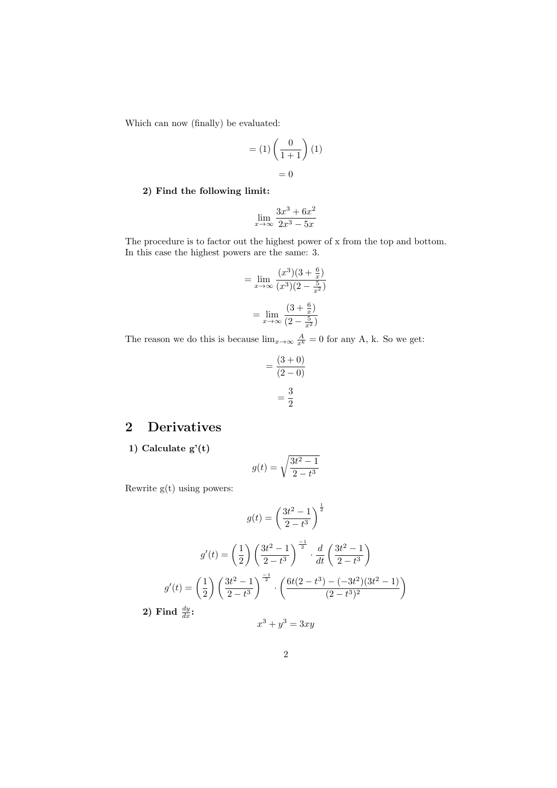Which can now (finally) be evaluated:

$$
= (1) \left(\frac{0}{1+1}\right)(1)
$$

$$
= 0
$$

#### 2) Find the following limit:

$$
\lim_{x \to \infty} \frac{3x^3 + 6x^2}{2x^3 - 5x}
$$

The procedure is to factor out the highest power of x from the top and bottom. In this case the highest powers are the same: 3.

$$
= \lim_{x \to \infty} \frac{(x^3)(3 + \frac{6}{x})}{(x^3)(2 - \frac{5}{x^2})}
$$

$$
= \lim_{x \to \infty} \frac{(3 + \frac{6}{x})}{(2 - \frac{5}{x^2})}
$$

The reason we do this is because  $\lim_{x\to\infty} \frac{A}{x^k} = 0$  for any A, k. So we get:

$$
= \frac{(3+0)}{(2-0)} \\
= \frac{3}{2}
$$

# 2 Derivatives

1) Calculate g'(t)

$$
g(t) = \sqrt{\frac{3t^2 - 1}{2 - t^3}}
$$

Rewrite g(t) using powers:

$$
g(t) = \left(\frac{3t^2 - 1}{2 - t^3}\right)^{\frac{1}{2}}
$$

$$
g'(t) = \left(\frac{1}{2}\right) \left(\frac{3t^2 - 1}{2 - t^3}\right)^{\frac{-1}{2}} \cdot \frac{d}{dt} \left(\frac{3t^2 - 1}{2 - t^3}\right)
$$

$$
g'(t) = \left(\frac{1}{2}\right) \left(\frac{3t^2 - 1}{2 - t^3}\right)^{\frac{-1}{2}} \cdot \left(\frac{6t(2 - t^3) - (-3t^2)(3t^2 - 1)}{(2 - t^3)^2}\right)
$$
  
**2) Find**  $\frac{dy}{dx}$ :
$$
x^3 + y^3 = 3xy
$$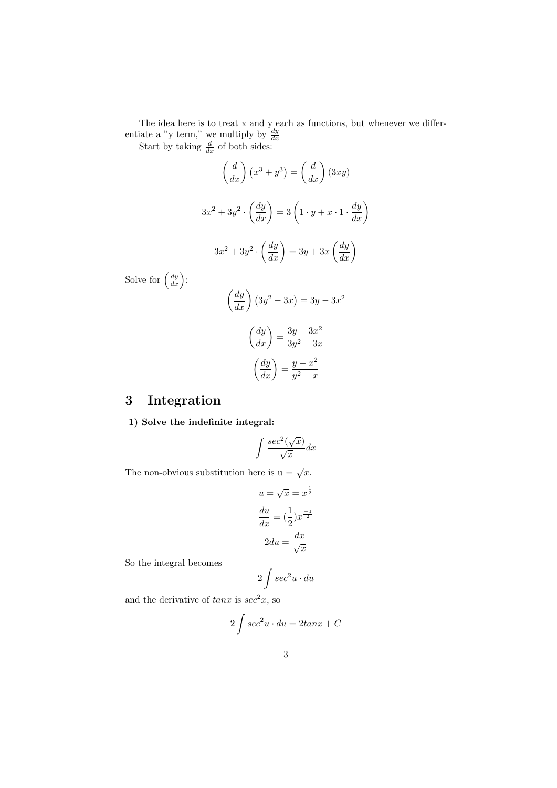The idea here is to treat x and y each as functions, but whenever we differentiate a "y term," we multiply by  $\frac{dy}{dx}$ <br>Start by taking  $\frac{d}{dx}$  of both sides:

$$
\left(\frac{d}{dx}\right)(x^3 + y^3) = \left(\frac{d}{dx}\right)(3xy)
$$

$$
3x^2 + 3y^2 \cdot \left(\frac{dy}{dx}\right) = 3\left(1 \cdot y + x \cdot 1 \cdot \frac{dy}{dx}\right)
$$

$$
3x^2 + 3y^2 \cdot \left(\frac{dy}{dx}\right) = 3y + 3x\left(\frac{dy}{dx}\right)
$$

$$
\therefore
$$

Solve for  $\left(\frac{dy}{dx}\right)$ 

$$
\left(\frac{dy}{dx}\right)\left(3y^2 - 3x\right) = 3y - 3x^2
$$

$$
\left(\frac{dy}{dx}\right) = \frac{3y - 3x^2}{3y^2 - 3x}
$$

$$
\left(\frac{dy}{dx}\right) = \frac{y - x^2}{y^2 - x}
$$

# 3 Integration

1) Solve the indefinite integral:

$$
\int \frac{\sec^2(\sqrt{x})}{\sqrt{x}} dx
$$

The non-obvious substitution here is  $u = \sqrt{x}$ .

$$
u = \sqrt{x} = x^{\frac{1}{2}}
$$

$$
\frac{du}{dx} = \left(\frac{1}{2}\right)x^{\frac{-1}{2}}
$$

$$
2du = \frac{dx}{\sqrt{x}}
$$

So the integral becomes

$$
2\int \sec^2 u \cdot du
$$

and the derivative of  $tan x$  is  $sec<sup>2</sup>x$ , so

$$
2\int \sec^2 u \cdot du = 2\tan x + C
$$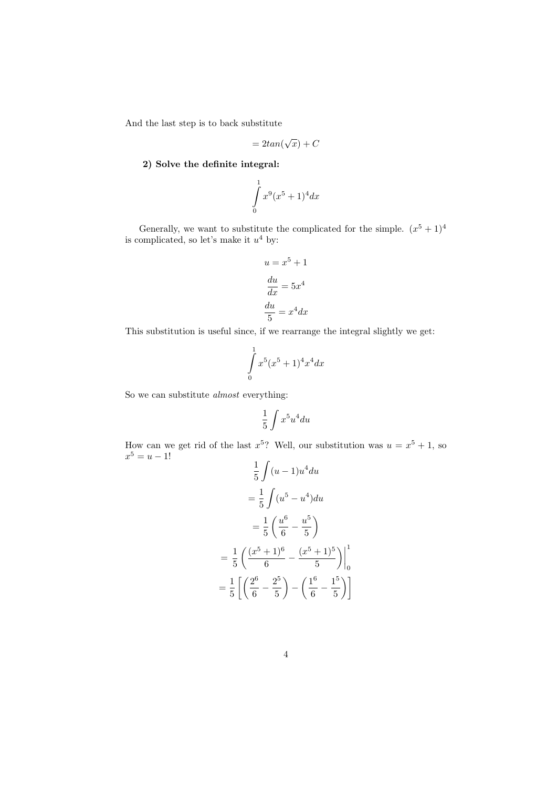And the last step is to back substitute

$$
= 2tan(\sqrt{x}) + C
$$

2) Solve the definite integral:

$$
\int_{0}^{1} x^{9} (x^{5} + 1)^{4} dx
$$

Generally, we want to substitute the complicated for the simple.  $(x^5 + 1)^4$ is complicated, so let's make it *u*<sup>4</sup> by:

$$
u = x^{5} + 1
$$

$$
\frac{du}{dx} = 5x^{4}
$$

$$
\frac{du}{5} = x^{4}dx
$$

This substitution is useful since, if we rearrange the integral slightly we get:

$$
\int_{0}^{1} x^{5} (x^{5} + 1)^{4} x^{4} dx
$$

So we can substitute *almost* everything:

$$
\frac{1}{5}\int x^5u^4du
$$

How can we get rid of the last  $x^5$ ? Well, our substitution was  $u = x^5 + 1$ , so  $x^5 = u - 1!$ 

$$
\frac{1}{5} \int (u-1)u^4 du
$$

$$
= \frac{1}{5} \int (u^5 - u^4) du
$$

$$
= \frac{1}{5} \left( \frac{u^6}{6} - \frac{u^5}{5} \right)
$$

$$
= \frac{1}{5} \left( \frac{(x^5 + 1)^6}{6} - \frac{(x^5 + 1)^5}{5} \right) \Big|_0^1
$$

$$
= \frac{1}{5} \left[ \left( \frac{2^6}{6} - \frac{2^5}{5} \right) - \left( \frac{1^6}{6} - \frac{1^5}{5} \right) \right]
$$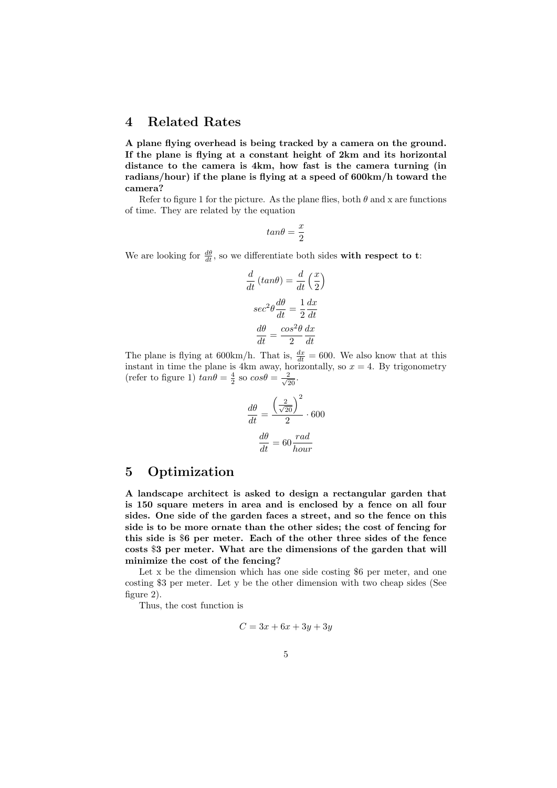### 4 Related Rates

A plane flying overhead is being tracked by a camera on the ground. If the plane is flying at a constant height of 2km and its horizontal distance to the camera is 4km, how fast is the camera turning (in radians/hour) if the plane is flying at a speed of 600km/h toward the camera?

Refer to figure 1 for the picture. As the plane flies, both  $\theta$  and x are functions of time. They are related by the equation

$$
tan\theta = \frac{x}{2}
$$

We are looking for  $\frac{d\theta}{dt}$ , so we differentiate both sides with respect to t:

$$
\frac{d}{dt}(tan\theta) = \frac{d}{dt}(\frac{x}{2})
$$

$$
sec^2\theta \frac{d\theta}{dt} = \frac{1}{2}\frac{dx}{dt}
$$

$$
\frac{d\theta}{dt} = \frac{cos^2\theta}{2}\frac{dx}{dt}
$$

The plane is flying at  $600 \text{km/h}$ . That is,  $\frac{dx}{dt} = 600$ . We also know that at this instant in time the plane is 4km away, horizontally, so  $x = 4$ . By trigonometry (refer to figure 1)  $tan\theta = \frac{4}{2}$  so  $cos\theta = \frac{2}{\sqrt{20}}$ .

$$
\frac{d\theta}{dt} = \frac{\left(\frac{2}{\sqrt{20}}\right)^2}{2} \cdot 600
$$

$$
\frac{d\theta}{dt} = 60 \frac{rad}{hour}
$$

# 5 Optimization

A landscape architect is asked to design a rectangular garden that is 150 square meters in area and is enclosed by a fence on all four sides. One side of the garden faces a street, and so the fence on this side is to be more ornate than the other sides; the cost of fencing for this side is \$6 per meter. Each of the other three sides of the fence costs \$3 per meter. What are the dimensions of the garden that will minimize the cost of the fencing?

Let x be the dimension which has one side costing \$6 per meter, and one costing \$3 per meter. Let y be the other dimension with two cheap sides (See figure 2).

Thus, the cost function is

$$
C = 3x + 6x + 3y + 3y
$$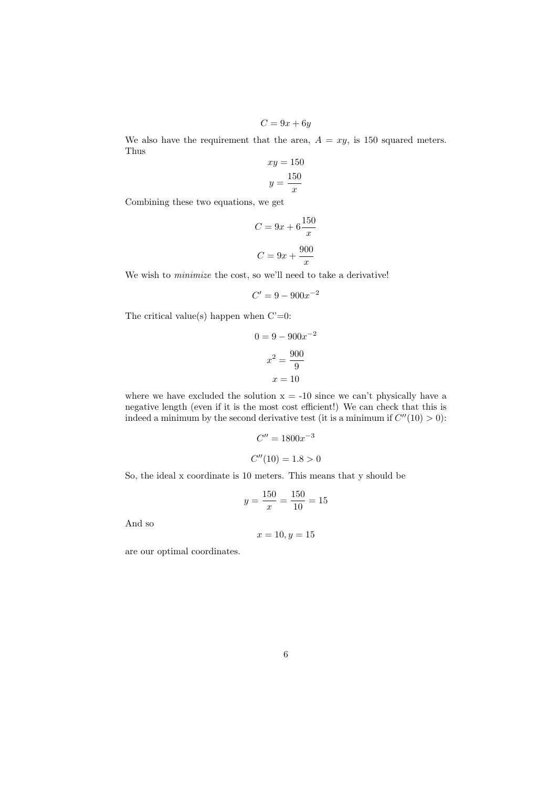$C = 9x + 6y$ 

We also have the requirement that the area,  $A = xy$ , is 150 squared meters. Thus

$$
xy = 150
$$

$$
y = \frac{150}{x}
$$

Combining these two equations, we get

$$
C = 9x + 6\frac{150}{x}
$$

$$
C = 9x + \frac{900}{x}
$$

We wish to *minimize* the cost, so we'll need to take a derivative!

$$
C' = 9 - 900x^{-2}
$$

The critical value(s) happen when  $C'=0$ :

$$
0 = 9 - 900x^{-2}
$$

$$
x^2 = \frac{900}{9}
$$

$$
x = 10
$$

where we have excluded the solution  $x = -10$  since we can't physically have a negative length (even if it is the most cost efficient!) We can check that this is indeed a minimum by the second derivative test (it is a minimum if  $C''(10) > 0$ ):

$$
C'' = 1800x^{-3}
$$

$$
C''(10) = 1.8 > 0
$$

So, the ideal x coordinate is 10 meters. This means that y should be

$$
y = \frac{150}{x} = \frac{150}{10} = 15
$$

And so

$$
x = 10, y = 15
$$

are our optimal coordinates.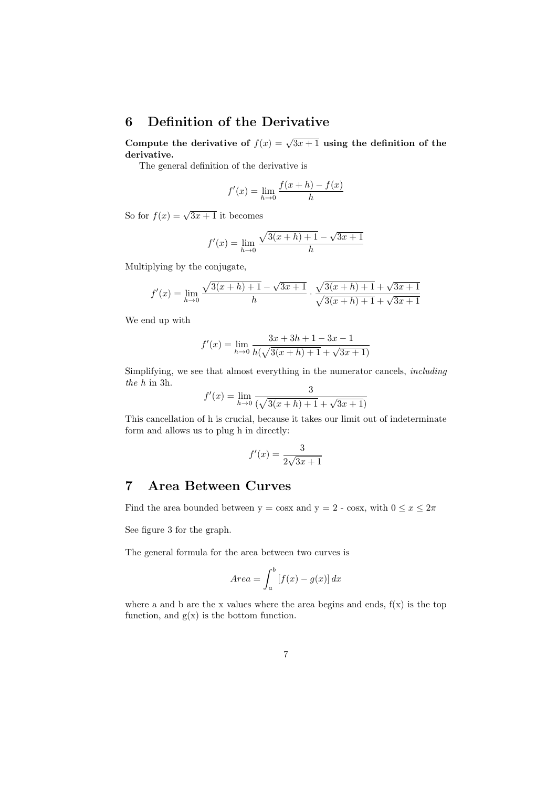## 6 Definition of the Derivative

Compute the derivative of  $f(x) = \sqrt{3x+1}$  using the definition of the derivative.

The general definition of the derivative is

$$
f'(x) = \lim_{h \to 0} \frac{f(x+h) - f(x)}{h}
$$

So for  $f(x) = \sqrt{3x + 1}$  it becomes

$$
f'(x) = \lim_{h \to 0} \frac{\sqrt{3(x+h)+1} - \sqrt{3x+1}}{h}
$$

Multiplying by the conjugate,

$$
f'(x) = \lim_{h \to 0} \frac{\sqrt{3(x+h)+1} - \sqrt{3x+1}}{h} \cdot \frac{\sqrt{3(x+h)+1} + \sqrt{3x+1}}{\sqrt{3(x+h)+1} + \sqrt{3x+1}}
$$

We end up with

$$
f'(x) = \lim_{h \to 0} \frac{3x + 3h + 1 - 3x - 1}{h(\sqrt{3(x + h) + 1} + \sqrt{3x + 1})}
$$

Simplifying, we see that almost everything in the numerator cancels, *including the h* in 3h.

$$
f'(x) = \lim_{h \to 0} \frac{3}{(\sqrt{3(x+h) + 1} + \sqrt{3x + 1})}
$$

This cancellation of h is crucial, because it takes our limit out of indeterminate form and allows us to plug h in directly:

$$
f'(x) = \frac{3}{2\sqrt{3x+1}}
$$

## 7 Area Between Curves

Find the area bounded between  $y = \cos x$  and  $y = 2$  -  $\cos x$ , with  $0 \le x \le 2\pi$ 

See figure 3 for the graph.

The general formula for the area between two curves is

$$
Area = \int_{a}^{b} [f(x) - g(x)] dx
$$

where a and b are the x values where the area begins and ends,  $f(x)$  is the top function, and  $g(x)$  is the bottom function.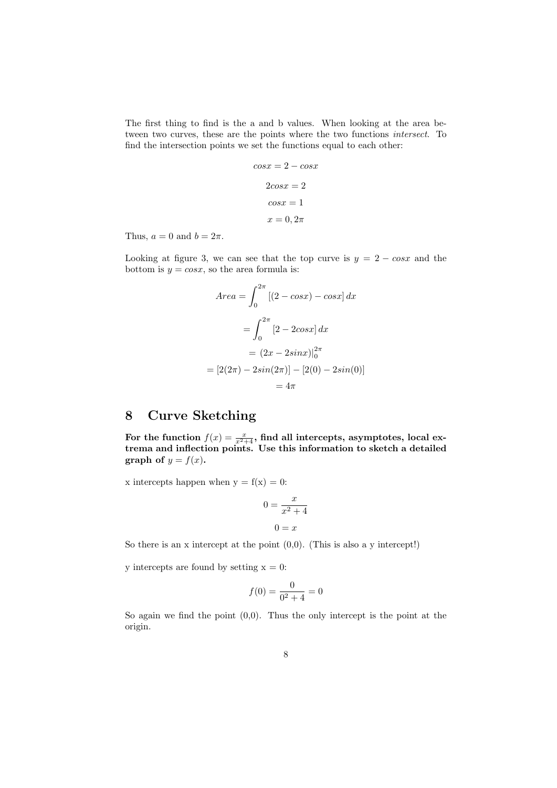The first thing to find is the a and b values. When looking at the area between two curves, these are the points where the two functions *intersect*. To find the intersection points we set the functions equal to each other:

$$
cos x = 2 - cos x
$$

$$
2cos x = 2
$$

$$
cos x = 1
$$

$$
x = 0, 2\pi
$$

Thus,  $a = 0$  and  $b = 2\pi$ .

Looking at figure 3, we can see that the top curve is  $y = 2 - \cos x$  and the bottom is  $y = \cos x$ , so the area formula is:

$$
Area = \int_0^{2\pi} [(2 - \cos x) - \cos x] dx
$$

$$
= \int_0^{2\pi} [2 - 2\cos x] dx
$$

$$
= (2x - 2\sin x)|_0^{2\pi}
$$

$$
= [2(2\pi) - 2\sin(2\pi)] - [2(0) - 2\sin(0)]
$$

$$
= 4\pi
$$

## 8 Curve Sketching

For the function  $f(x) = \frac{x}{x^2+4}$ , find all intercepts, asymptotes, local extrema and inflection points. Use this information to sketch a detailed graph of  $y = f(x)$ .

x intercepts happen when  $y = f(x) = 0$ :

$$
0 = \frac{x}{x^2 + 4}
$$

$$
0 = x
$$

So there is an x intercept at the point  $(0,0)$ . (This is also a y intercept!)

y intercepts are found by setting  $x = 0$ :

$$
f(0) = \frac{0}{0^2 + 4} = 0
$$

So again we find the point  $(0,0)$ . Thus the only intercept is the point at the origin.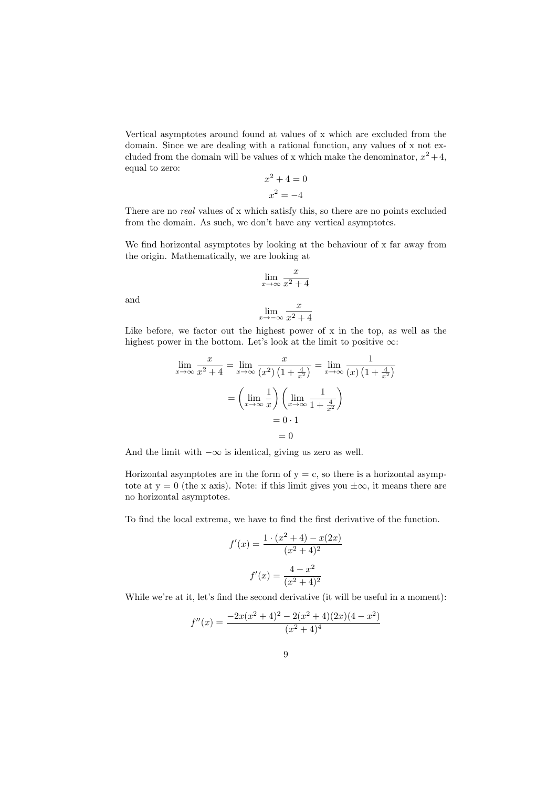Vertical asymptotes around found at values of x which are excluded from the domain. Since we are dealing with a rational function, any values of x not excluded from the domain will be values of x which make the denominator,  $x^2 + 4$ , equal to zero:

$$
x^2 + 4 = 0
$$

$$
x^2 = -4
$$

There are no *real* values of x which satisfy this, so there are no points excluded from the domain. As such, we don't have any vertical asymptotes.

We find horizontal asymptotes by looking at the behaviour of x far away from the origin. Mathematically, we are looking at

$$
\lim_{x \to \infty} \frac{x}{x^2 + 4}
$$

and

$$
\lim_{x \to -\infty} \frac{x}{x^2 + 4}
$$

Like before, we factor out the highest power of x in the top, as well as the highest power in the bottom. Let's look at the limit to positive  $\infty$ :

$$
\lim_{x \to \infty} \frac{x}{x^2 + 4} = \lim_{x \to \infty} \frac{x}{(x^2) \left(1 + \frac{4}{x^2}\right)} = \lim_{x \to \infty} \frac{1}{(x) \left(1 + \frac{4}{x^2}\right)}
$$

$$
= \left(\lim_{x \to \infty} \frac{1}{x}\right) \left(\lim_{x \to \infty} \frac{1}{1 + \frac{4}{x^2}}\right)
$$

$$
= 0 \cdot 1
$$

$$
= 0
$$

And the limit with  $-\infty$  is identical, giving us zero as well.

Horizontal asymptotes are in the form of  $y = c$ , so there is a horizontal asymptote at  $y = 0$  (the x axis). Note: if this limit gives you  $\pm \infty$ , it means there are no horizontal asymptotes.

To find the local extrema, we have to find the first derivative of the function.

$$
f'(x) = \frac{1 \cdot (x^2 + 4) - x(2x)}{(x^2 + 4)^2}
$$

$$
f'(x) = \frac{4 - x^2}{(x^2 + 4)^2}
$$

While we're at it, let's find the second derivative (it will be useful in a moment):

$$
f''(x) = \frac{-2x(x^2+4)^2 - 2(x^2+4)(2x)(4-x^2)}{(x^2+4)^4}
$$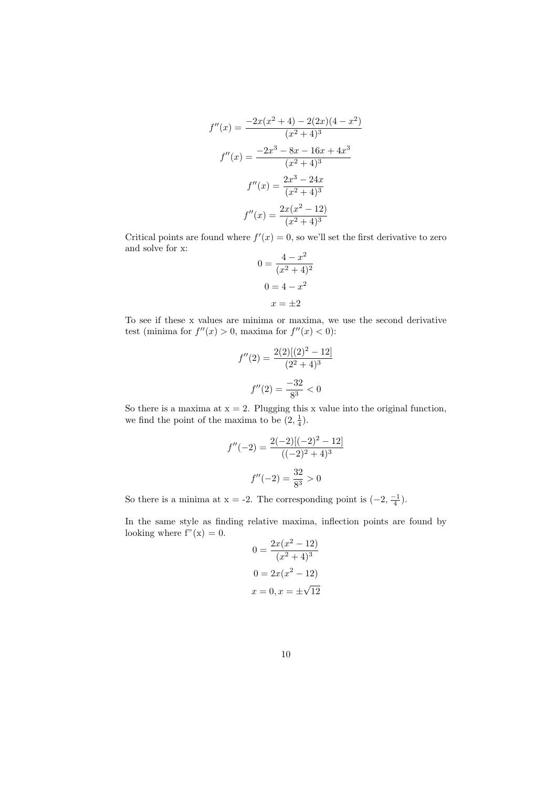$$
f''(x) = \frac{-2x(x^2+4) - 2(2x)(4-x^2)}{(x^2+4)^3}
$$

$$
f''(x) = \frac{-2x^3 - 8x - 16x + 4x^3}{(x^2+4)^3}
$$

$$
f''(x) = \frac{2x^3 - 24x}{(x^2+4)^3}
$$

$$
f''(x) = \frac{2x(x^2-12)}{(x^2+4)^3}
$$

Critical points are found where  $f'(x) = 0$ , so we'll set the first derivative to zero and solve for x:

$$
0 = \frac{4 - x^2}{(x^2 + 4)^2}
$$

$$
0 = 4 - x^2
$$

$$
x = \pm 2
$$

To see if these x values are minima or maxima, we use the second derivative test (minima for  $f''(x) > 0$ , maxima for  $f''(x) < 0$ ):

$$
f''(2) = \frac{2(2)[(2)^2 - 12]}{(2^2 + 4)^3}
$$

$$
f''(2) = \frac{-32}{8^3} < 0
$$

So there is a maxima at  $x = 2$ . Plugging this x value into the original function, we find the point of the maxima to be  $(2, \frac{1}{4})$ .

$$
f''(-2) = \frac{2(-2)[(-2)^2 - 12]}{((-2)^2 + 4)^3}
$$

$$
f''(-2) = \frac{32}{8^3} > 0
$$

So there is a minima at  $x = -2$ . The corresponding point is  $(-2, \frac{-1}{4})$ .

In the same style as finding relative maxima, inflection points are found by looking where  $f''(x) = 0$ .

$$
0 = \frac{2x(x^2 - 12)}{(x^2 + 4)^3}
$$

$$
0 = 2x(x^2 - 12)
$$

$$
x = 0, x = \pm\sqrt{12}
$$